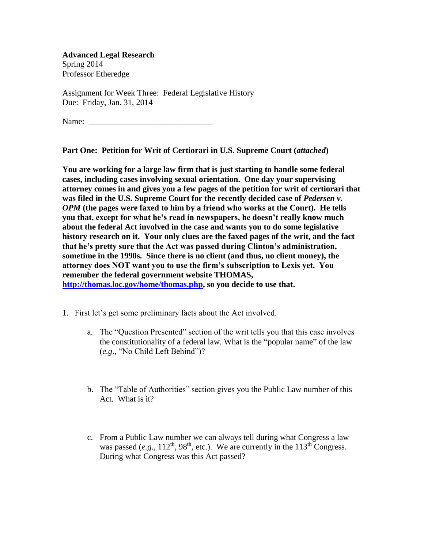**Advanced Legal Research** Spring 2014 Professor Etheredge

Assignment for Week Three: Federal Legislative History Due: Friday, Jan. 31, 2014

Name:

**Part One: Petition for Writ of Certiorari in U.S. Supreme Court (***attached***)**

**You are working for a large law firm that is just starting to handle some federal cases, including cases involving sexual orientation. One day your supervising attorney comes in and gives you a few pages of the petition for writ of certiorari that was filed in the U.S. Supreme Court for the recently decided case of** *Pedersen v. OPM* **(the pages were faxed to him by a friend who works at the Court). He tells you that, except for what he's read in newspapers, he doesn't really know much about the federal Act involved in the case and wants you to do some legislative history research on it. Your only clues are the faxed pages of the writ, and the fact that he's pretty sure that the Act was passed during Clinton's administration, sometime in the 1990s. Since there is no client (and thus, no client money), the attorney does NOT want you to use the firm's subscription to Lexis yet. You remember the federal government website THOMAS, <http://thomas.loc.gov/>home/thomas.php, so you decide to use that.**

- 1. First let's get some preliminary facts about the Act involved.
	- a. The "Question Presented" section of the writ tells you that this case involves the constitutionality of a federal law. What is the "popular name" of the law (*e.g*., "No Child Left Behind")?
	- b. The "Table of Authorities" section gives you the Public Law number of this Act. What is it?
	- c. From a Public Law number we can always tell during what Congress a law was passed (*e.g.*,  $112^{th}$ ,  $98^{th}$ , etc.). We are currently in the  $113^{th}$  Congress. During what Congress was this Act passed?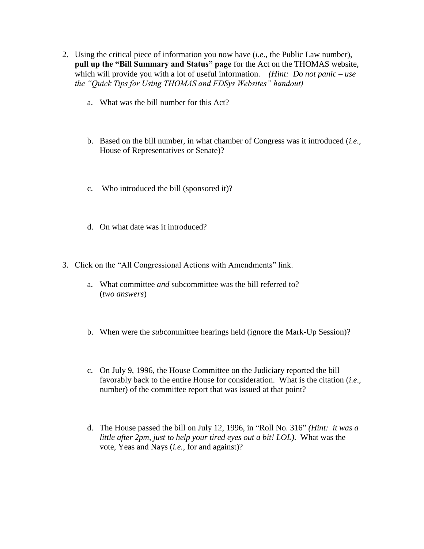- 2. Using the critical piece of information you now have (*i.e*., the Public Law number), **pull up the "Bill Summary and Status" page** for the Act on the THOMAS website, which will provide you with a lot of useful information. *(Hint: Do not panic – use the "Quick Tips for Using THOMAS and FDSys Websites" handout)*
	- a. What was the bill number for this Act?
	- b. Based on the bill number, in what chamber of Congress was it introduced (*i.e*., House of Representatives or Senate)?
	- c. Who introduced the bill (sponsored it)?
	- d. On what date was it introduced?
- 3. Click on the "All Congressional Actions with Amendments" link.
	- a. What committee *and* subcommittee was the bill referred to? (*two answers*)
	- b. When were the *sub*committee hearings held (ignore the Mark-Up Session)?
	- c. On July 9, 1996, the House Committee on the Judiciary reported the bill favorably back to the entire House for consideration. What is the citation (*i.e*., number) of the committee report that was issued at that point?
	- d. The House passed the bill on July 12, 1996, in "Roll No. 316" *(Hint: it was a little after 2pm, just to help your tired eyes out a bit! LOL)*. What was the vote, Yeas and Nays (*i.e.,* for and against)?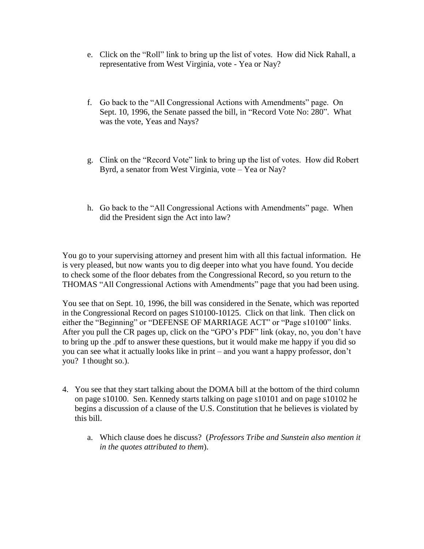- e. Click on the "Roll" link to bring up the list of votes. How did Nick Rahall, a representative from West Virginia, vote - Yea or Nay?
- f. Go back to the "All Congressional Actions with Amendments" page. On Sept. 10, 1996, the Senate passed the bill, in "Record Vote No: 280". What was the vote, Yeas and Nays?
- g. Clink on the "Record Vote" link to bring up the list of votes. How did Robert Byrd, a senator from West Virginia, vote – Yea or Nay?
- h. Go back to the "All Congressional Actions with Amendments" page. When did the President sign the Act into law?

You go to your supervising attorney and present him with all this factual information. He is very pleased, but now wants you to dig deeper into what you have found. You decide to check some of the floor debates from the Congressional Record, so you return to the THOMAS "All Congressional Actions with Amendments" page that you had been using.

You see that on Sept. 10, 1996, the bill was considered in the Senate, which was reported in the Congressional Record on pages S10100-10125. Click on that link. Then click on either the "Beginning" or "DEFENSE OF MARRIAGE ACT" or "Page s10100" links. After you pull the CR pages up, click on the "GPO's PDF" link (okay, no, you don't have to bring up the .pdf to answer these questions, but it would make me happy if you did so you can see what it actually looks like in print – and you want a happy professor, don't you? I thought so.).

- 4. You see that they start talking about the DOMA bill at the bottom of the third column on page s10100. Sen. Kennedy starts talking on page s10101 and on page s10102 he begins a discussion of a clause of the U.S. Constitution that he believes is violated by this bill.
	- a. Which clause does he discuss? (*Professors Tribe and Sunstein also mention it in the quotes attributed to them*).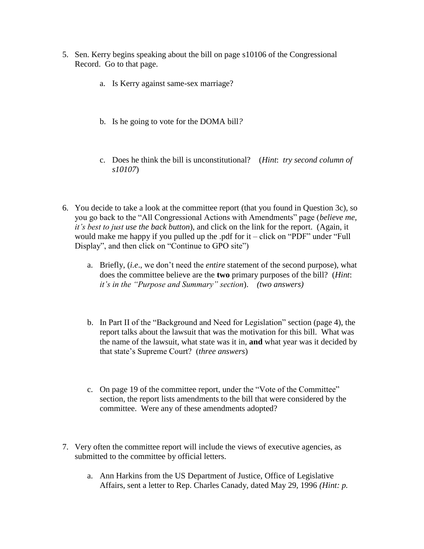- 5. Sen. Kerry begins speaking about the bill on page s10106 of the Congressional Record. Go to that page.
	- a. Is Kerry against same-sex marriage?
	- b. Is he going to vote for the DOMA bill*?*
	- c. Does he think the bill is unconstitutional? (*Hint*: *try second column of s10107*)
- 6. You decide to take a look at the committee report (that you found in Question 3c), so you go back to the "All Congressional Actions with Amendments" page (*believe me, it's best to just use the back button*), and click on the link for the report. (Again, it would make me happy if you pulled up the .pdf for it – click on "PDF" under "Full Display", and then click on "Continue to GPO site")
	- a. Briefly, (*i.e*., we don't need the *entire* statement of the second purpose), what does the committee believe are the **two** primary purposes of the bill? (*Hint*: *it's in the "Purpose and Summary" section*). *(two answers)*
	- b. In Part II of the "Background and Need for Legislation" section (page 4), the report talks about the lawsuit that was the motivation for this bill. What was the name of the lawsuit, what state was it in, **and** what year was it decided by that state's Supreme Court? (*three answers*)
	- c. On page 19 of the committee report, under the "Vote of the Committee" section, the report lists amendments to the bill that were considered by the committee. Were any of these amendments adopted?
- 7. Very often the committee report will include the views of executive agencies, as submitted to the committee by official letters.
	- a. Ann Harkins from the US Department of Justice, Office of Legislative Affairs, sent a letter to Rep. Charles Canady, dated May 29, 1996 *(Hint: p.*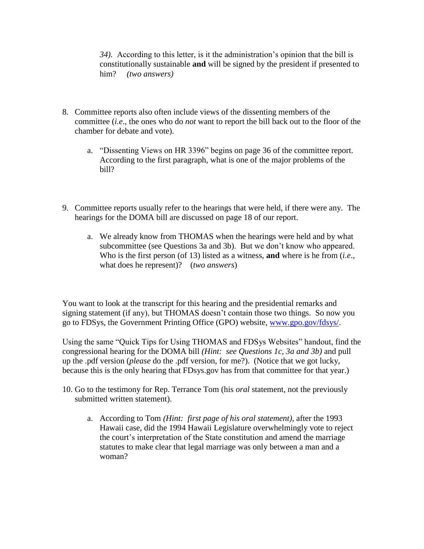*34).* According to this letter, is it the administration's opinion that the bill is constitutionally sustainable **and** will be signed by the president if presented to him? *(two answers)*

- 8. Committee reports also often include views of the dissenting members of the committee (*i.e*., the ones who do *not* want to report the bill back out to the floor of the chamber for debate and vote).
	- a. "Dissenting Views on HR 3396" begins on page 36 of the committee report. According to the first paragraph, what is one of the major problems of the bill?
- 9. Committee reports usually refer to the hearings that were held, if there were any. The hearings for the DOMA bill are discussed on page 18 of our report.
	- a. We already know from THOMAS when the hearings were held and by what subcommittee (see Questions 3a and 3b). But we don't know who appeared. Who is the first person (of 13) listed as a witness, **and** where is he from (*i.e*., what does he represent)? (*two answers*)

You want to look at the transcript for this hearing and the presidential remarks and signing statement (if any), but THOMAS doesn't contain those two things. So now you go to FDSys, the Government Printing Office (GPO) website, [www.gpo.gov/fdsys/.](http://www.gpo.gov/fdsys/)

Using the same "Quick Tips for Using THOMAS and FDSys Websites" handout, find the congressional hearing for the DOMA bill *(Hint: see Questions 1c, 3a and 3b)* and pull up the .pdf version (*please* do the .pdf version, for me?). (Notice that we got lucky, because this is the only hearing that FDsys.gov has from that committee for that year.)

- 10. Go to the testimony for Rep. Terrance Tom (his *oral* statement, not the previously submitted written statement).
	- a. According to Tom *(Hint: first page of his oral statement),* after the 1993 Hawaii case, did the 1994 Hawaii Legislature overwhelmingly vote to reject the court's interpretation of the State constitution and amend the marriage statutes to make clear that legal marriage was only between a man and a woman?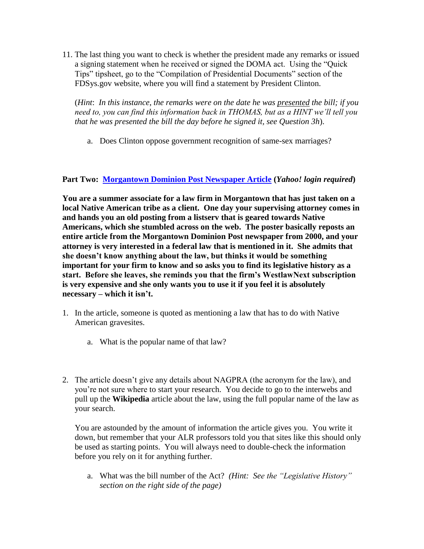11. The last thing you want to check is whether the president made any remarks or issued a signing statement when he received or signed the DOMA act. Using the "Quick Tips" tipsheet, go to the "Compilation of Presidential Documents" section of the FDSys.gov website, where you will find a statement by President Clinton.

(*Hint*: *In this instance, the remarks were on the date he was presented the bill; if you need to, you can find this information back in THOMAS, but as a HINT we'll tell you that he was presented the bill the day before he signed it, see Question 3h*).

a. Does Clinton oppose government recognition of same-sex marriages?

## **Part Two: [Morgantown Dominion Post Newspaper Article](https://groups.yahoo.com/neo/groups/NatNews/conversations/topics/2713) (***Yahoo! login required***)**

**You are a summer associate for a law firm in Morgantown that has just taken on a local Native American tribe as a client. One day your supervising attorney comes in and hands you an old posting from a listserv that is geared towards Native Americans, which she stumbled across on the web. The poster basically reposts an entire article from the Morgantown Dominion Post newspaper from 2000, and your attorney is very interested in a federal law that is mentioned in it. She admits that she doesn't know anything about the law, but thinks it would be something important for your firm to know and so asks you to find its legislative history as a start. Before she leaves, she reminds you that the firm's WestlawNext subscription is very expensive and she only wants you to use it if you feel it is absolutely necessary – which it isn't.**

- 1. In the article, someone is quoted as mentioning a law that has to do with Native American gravesites.
	- a. What is the popular name of that law?
- 2. The article doesn't give any details about NAGPRA (the acronym for the law), and you're not sure where to start your research. You decide to go to the interwebs and pull up the **Wikipedia** article about the law, using the full popular name of the law as your search.

You are astounded by the amount of information the article gives you. You write it down, but remember that your ALR professors told you that sites like this should only be used as starting points. You will always need to double-check the information before you rely on it for anything further.

a. What was the bill number of the Act? *(Hint: See the "Legislative History" section on the right side of the page)*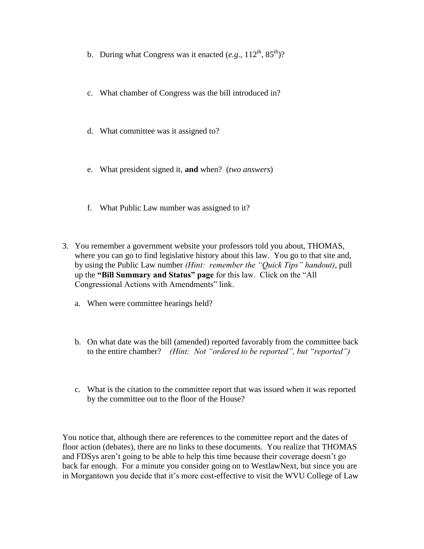- b. During what Congress was it enacted  $(e.g., 112^{\text{th}}, 85^{\text{th}})$ ?
- c. What chamber of Congress was the bill introduced in?
- d. What committee was it assigned to?
- e. What president signed it, **and** when? (*two answers*)
- f. What Public Law number was assigned to it?
- 3. You remember a government website your professors told you about, THOMAS, where you can go to find legislative history about this law. You go to that site and, by using the Public Law number *(Hint: remember the "Quick Tips" handout)*, pull up the **"Bill Summary and Status" page** for this law. Click on the "All Congressional Actions with Amendments" link.
	- a. When were committee hearings held?
	- b. On what date was the bill (amended) reported favorably from the committee back to the entire chamber? *(Hint: Not "ordered to be reported", but "reported")*
	- c. What is the citation to the committee report that was issued when it was reported by the committee out to the floor of the House?

You notice that, although there are references to the committee report and the dates of floor action (debates), there are no links to these documents. You realize that THOMAS and FDSys aren't going to be able to help this time because their coverage doesn't go back far enough. For a minute you consider going on to WestlawNext, but since you are in Morgantown you decide that it's more cost-effective to visit the WVU College of Law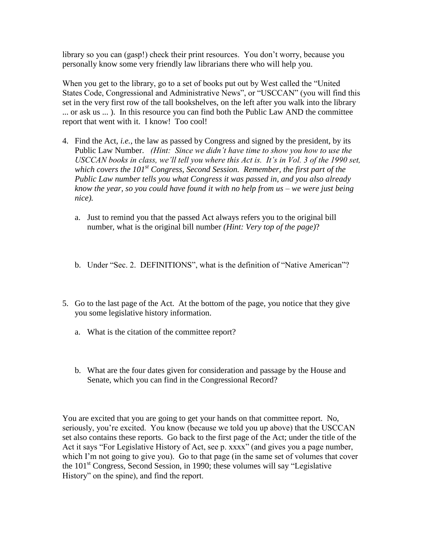library so you can (gasp!) check their print resources. You don't worry, because you personally know some very friendly law librarians there who will help you.

When you get to the library, go to a set of books put out by West called the "United States Code, Congressional and Administrative News", or "USCCAN" (you will find this set in the very first row of the tall bookshelves, on the left after you walk into the library ... or ask us ... ). In this resource you can find both the Public Law AND the committee report that went with it. I know! Too cool!

- 4. Find the Act, *i.e.,* the law as passed by Congress and signed by the president, by its Public Law Number. *(Hint: Since we didn't have time to show you how to use the USCCAN books in class, we'll tell you where this Act is. It's in Vol. 3 of the 1990 set, which covers the 101st Congress, Second Session. Remember, the first part of the Public Law number tells you what Congress it was passed in, and you also already know the year, so you could have found it with no help from us – we were just being nice).*
	- a. Just to remind you that the passed Act always refers you to the original bill number, what is the original bill number *(Hint: Very top of the page)*?
	- b. Under "Sec. 2. DEFINITIONS", what is the definition of "Native American"?
- 5. Go to the last page of the Act. At the bottom of the page, you notice that they give you some legislative history information.
	- a. What is the citation of the committee report?
	- b. What are the four dates given for consideration and passage by the House and Senate, which you can find in the Congressional Record?

You are excited that you are going to get your hands on that committee report. No, seriously, you're excited. You know (because we told you up above) that the USCCAN set also contains these reports. Go back to the first page of the Act; under the title of the Act it says "For Legislative History of Act, see p. xxxx" (and gives you a page number, which I'm not going to give you). Go to that page (in the same set of volumes that cover the 101st Congress, Second Session, in 1990; these volumes will say "Legislative History" on the spine), and find the report.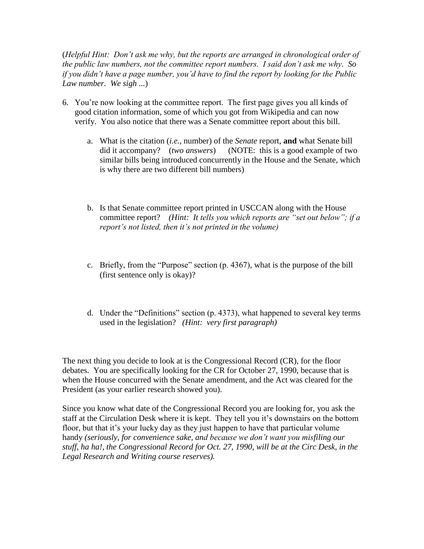(*Helpful Hint: Don't ask me why, but the reports are arranged in chronological order of the public law numbers, not the committee report numbers. I said don't ask me why. So if you didn't have a page number, you'd have to find the report by looking for the Public Law number. We sigh ...*)

- 6. You're now looking at the committee report. The first page gives you all kinds of good citation information, some of which you got from Wikipedia and can now verify. You also notice that there was a Senate committee report about this bill.
	- a. What is the citation (*i.e.,* number) of the *Senate* report, **and** what Senate bill did it accompany? (*two answers*) (NOTE: this is a good example of two similar bills being introduced concurrently in the House and the Senate, which is why there are two different bill numbers)
	- b. Is that Senate committee report printed in USCCAN along with the House committee report? *(Hint: It tells you which reports are "set out below"; if a report's not listed, then it's not printed in the volume)*
	- c. Briefly, from the "Purpose" section (p. 4367), what is the purpose of the bill (first sentence only is okay)?
	- d. Under the "Definitions" section (p. 4373), what happened to several key terms used in the legislation? *(Hint: very first paragraph)*

The next thing you decide to look at is the Congressional Record (CR), for the floor debates. You are specifically looking for the CR for October 27, 1990, because that is when the House concurred with the Senate amendment, and the Act was cleared for the President (as your earlier research showed you).

Since you know what date of the Congressional Record you are looking for, you ask the staff at the Circulation Desk where it is kept. They tell you it's downstairs on the bottom floor, but that it's your lucky day as they just happen to have that particular volume handy *(seriously, for convenience sake, and because we don't want you misfiling our stuff, ha ha!, the Congressional Record for Oct. 27, 1990, will be at the Circ Desk, in the Legal Research and Writing course reserves).*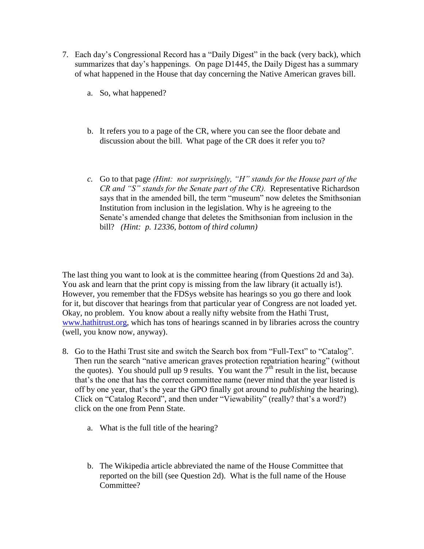- 7. Each day's Congressional Record has a "Daily Digest" in the back (very back), which summarizes that day's happenings. On page D1445, the Daily Digest has a summary of what happened in the House that day concerning the Native American graves bill.
	- a. So, what happened?
	- b. It refers you to a page of the CR, where you can see the floor debate and discussion about the bill. What page of the CR does it refer you to?
	- *c.* Go to that page *(Hint: not surprisingly, "H" stands for the House part of the CR and "S" stands for the Senate part of the CR).* Representative Richardson says that in the amended bill, the term "museum" now deletes the Smithsonian Institution from inclusion in the legislation. Why is he agreeing to the Senate's amended change that deletes the Smithsonian from inclusion in the bill? *(Hint: p. 12336, bottom of third column)*

The last thing you want to look at is the committee hearing (from Questions 2d and 3a). You ask and learn that the print copy is missing from the law library (it actually is!). However, you remember that the FDSys website has hearings so you go there and look for it, but discover that hearings from that particular year of Congress are not loaded yet. Okay, no problem. You know about a really nifty website from the Hathi Trust, [www.hathitrust.org,](http://www.hathitrust.org/) which has tons of hearings scanned in by libraries across the country (well, you know now, anyway).

- 8. Go to the Hathi Trust site and switch the Search box from "Full-Text" to "Catalog". Then run the search "native american graves protection repatriation hearing" (without the quotes). You should pull up 9 results. You want the  $7<sup>th</sup>$  result in the list, because that's the one that has the correct committee name (never mind that the year listed is off by one year, that's the year the GPO finally got around to *publishing* the hearing). Click on "Catalog Record", and then under "Viewability" (really? that's a word?) click on the one from Penn State.
	- a. What is the full title of the hearing?
	- b. The Wikipedia article abbreviated the name of the House Committee that reported on the bill (see Question 2d). What is the full name of the House Committee?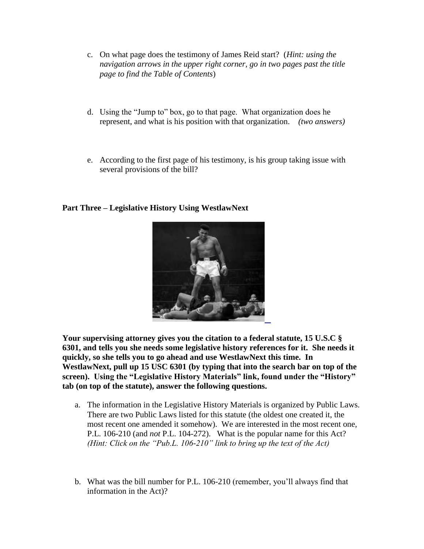- c. On what page does the testimony of James Reid start? (*Hint: using the navigation arrows in the upper right corner, go in two pages past the title page to find the Table of Contents*)
- d. Using the "Jump to" box, go to that page. What organization does he represent, and what is his position with that organization. *(two answers)*
- e. According to the first page of his testimony, is his group taking issue with several provisions of the bill?

## **Part Three – Legislative History Using WestlawNext**



**Your supervising attorney gives you the citation to a federal statute, 15 U.S.C § 6301, and tells you she needs some legislative history references for it. She needs it quickly, so she tells you to go ahead and use WestlawNext this time. In WestlawNext, pull up 15 USC 6301 (by typing that into the search bar on top of the screen). Using the "Legislative History Materials" link, found under the "History" tab (on top of the statute), answer the following questions.**

- a. The information in the Legislative History Materials is organized by Public Laws. There are two Public Laws listed for this statute (the oldest one created it, the most recent one amended it somehow). We are interested in the most recent one, P.L. 106-210 (and *not* P.L. 104-272). What is the popular name for this Act? *(Hint: Click on the "Pub.L. 106-210" link to bring up the text of the Act)*
- b. What was the bill number for P.L. 106-210 (remember, you'll always find that information in the Act)?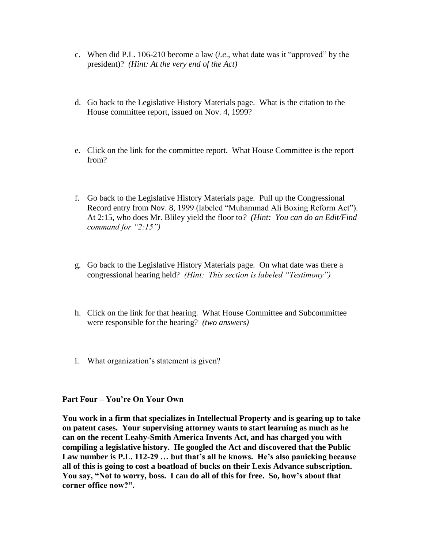- c. When did P.L. 106-210 become a law (*i.e*., what date was it "approved" by the president)? *(Hint: At the very end of the Act)*
- d. Go back to the Legislative History Materials page. What is the citation to the House committee report, issued on Nov. 4, 1999?
- e. Click on the link for the committee report. What House Committee is the report from?
- f. Go back to the Legislative History Materials page. Pull up the Congressional Record entry from Nov. 8, 1999 (labeled "Muhammad Ali Boxing Reform Act"). At 2:15, who does Mr. Bliley yield the floor to*? (Hint: You can do an Edit/Find command for "2:15")*
- g. Go back to the Legislative History Materials page. On what date was there a congressional hearing held? *(Hint: This section is labeled "Testimony")*
- h. Click on the link for that hearing. What House Committee and Subcommittee were responsible for the hearing? *(two answers)*
- i. What organization's statement is given?

## **Part Four – You're On Your Own**

**You work in a firm that specializes in Intellectual Property and is gearing up to take on patent cases. Your supervising attorney wants to start learning as much as he can on the recent Leahy-Smith America Invents Act, and has charged you with compiling a legislative history. He googled the Act and discovered that the Public Law number is P.L. 112-29 … but that's all he knows. He's also panicking because all of this is going to cost a boatload of bucks on their Lexis Advance subscription. You say, "Not to worry, boss. I can do all of this for free. So, how's about that corner office now?".**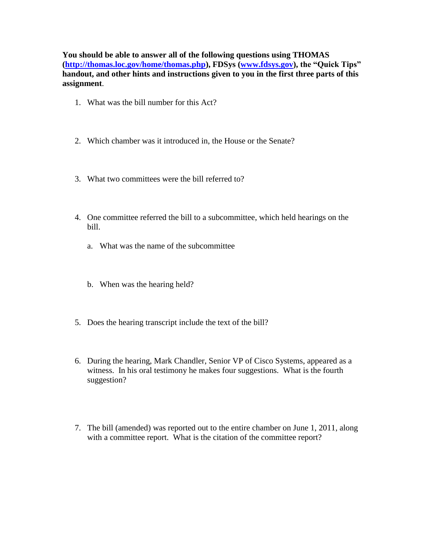**You should be able to answer all of the following questions using THOMAS [\(http://thomas.loc.gov/home/thomas.php\)](http://thomas.loc.gov/home/thomas.php), FDSys [\(www.fdsys.gov\)](http://www.fdsys.gov/), the "Quick Tips" handout, and other hints and instructions given to you in the first three parts of this assignment**.

- 1. What was the bill number for this Act?
- 2. Which chamber was it introduced in, the House or the Senate?
- 3. What two committees were the bill referred to?
- 4. One committee referred the bill to a subcommittee, which held hearings on the bill.
	- a. What was the name of the subcommittee
	- b. When was the hearing held?
- 5. Does the hearing transcript include the text of the bill?
- 6. During the hearing, Mark Chandler, Senior VP of Cisco Systems, appeared as a witness. In his oral testimony he makes four suggestions. What is the fourth suggestion?
- 7. The bill (amended) was reported out to the entire chamber on June 1, 2011, along with a committee report. What is the citation of the committee report?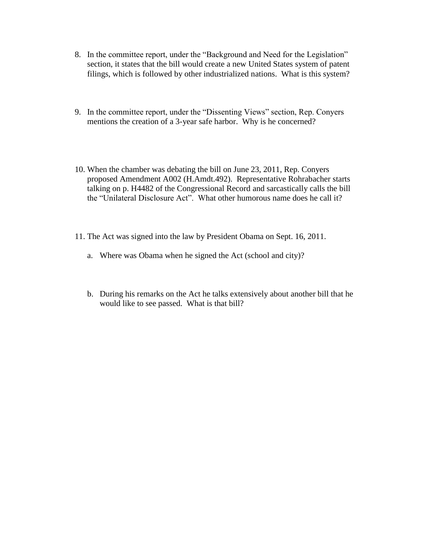- 8. In the committee report, under the "Background and Need for the Legislation" section, it states that the bill would create a new United States system of patent filings, which is followed by other industrialized nations. What is this system?
- 9. In the committee report, under the "Dissenting Views" section, Rep. Conyers mentions the creation of a 3-year safe harbor. Why is he concerned?
- 10. When the chamber was debating the bill on June 23, 2011, Rep. Conyers proposed Amendment A002 (H.Amdt.492). Representative Rohrabacher starts talking on p. H4482 of the Congressional Record and sarcastically calls the bill the "Unilateral Disclosure Act". What other humorous name does he call it?
- 11. The Act was signed into the law by President Obama on Sept. 16, 2011.
	- a. Where was Obama when he signed the Act (school and city)?
	- b. During his remarks on the Act he talks extensively about another bill that he would like to see passed. What is that bill?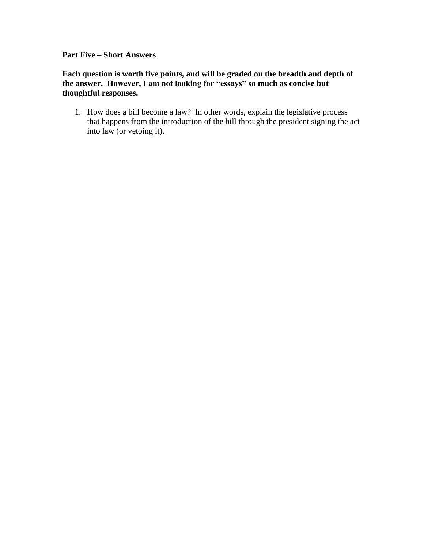**Part Five – Short Answers**

**Each question is worth five points, and will be graded on the breadth and depth of the answer. However, I am not looking for "essays" so much as concise but thoughtful responses.**

1. How does a bill become a law? In other words, explain the legislative process that happens from the introduction of the bill through the president signing the act into law (or vetoing it).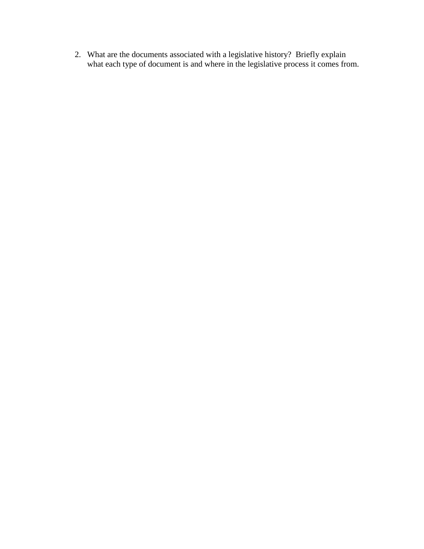2. What are the documents associated with a legislative history? Briefly explain what each type of document is and where in the legislative process it comes from.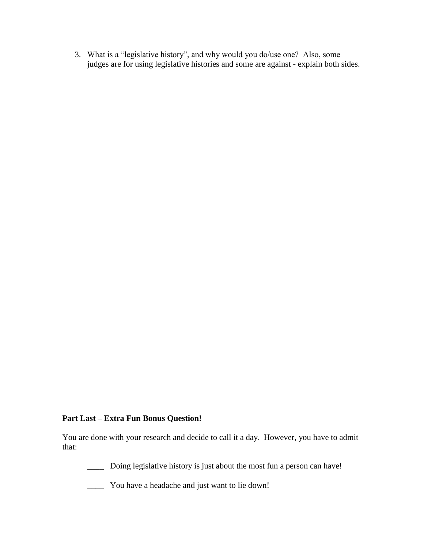3. What is a "legislative history", and why would you do/use one? Also, some judges are for using legislative histories and some are against - explain both sides.

## **Part Last – Extra Fun Bonus Question!**

You are done with your research and decide to call it a day. However, you have to admit that:

\_\_\_\_ Doing legislative history is just about the most fun a person can have!

\_\_\_\_ You have a headache and just want to lie down!